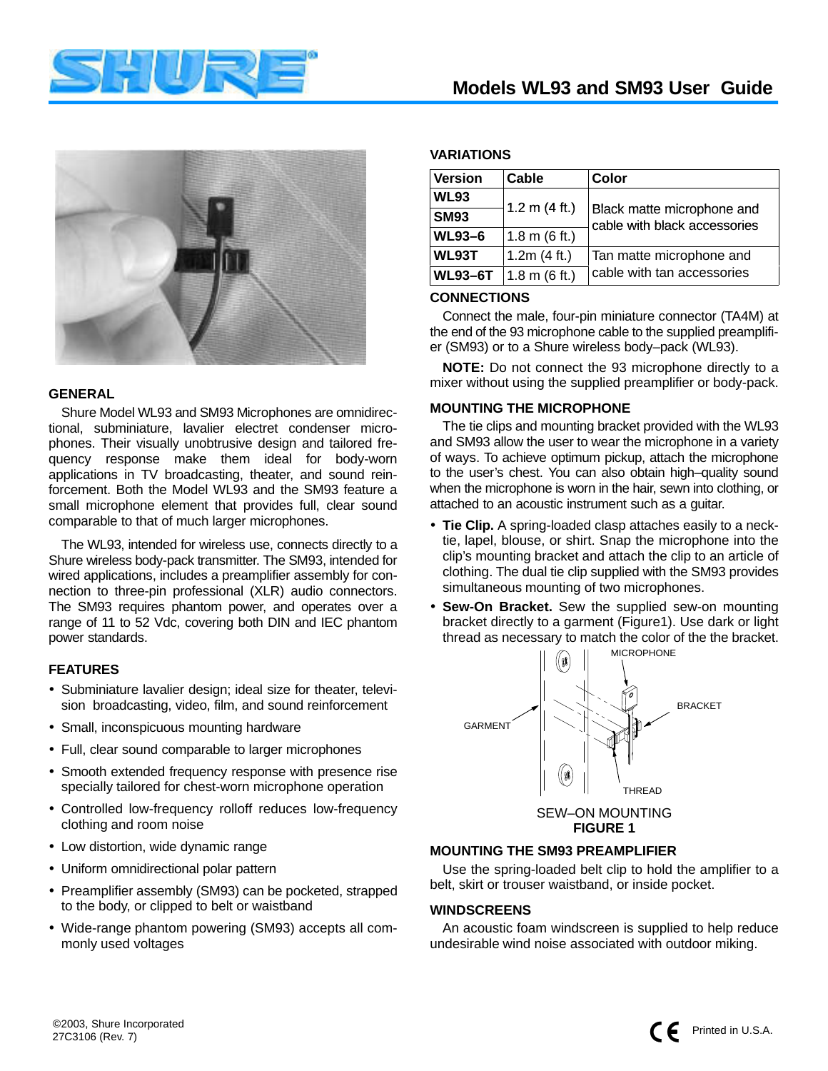



#### **GENERAL**

Shure Model WL93 and SM93 Microphones are omnidirectional, subminiature, lavalier electret condenser microphones. Their visually unobtrusive design and tailored frequency response make them ideal for body-worn applications in TV broadcasting, theater, and sound reinforcement. Both the Model WL93 and the SM93 feature a small microphone element that provides full, clear sound comparable to that of much larger microphones.

The WL93, intended for wireless use, connects directly to a Shure wireless body-pack transmitter. The SM93, intended for wired applications, includes a preamplifier assembly for connection to three-pin professional (XLR) audio connectors. The SM93 requires phantom power, and operates over a range of 11 to 52 Vdc, covering both DIN and IEC phantom power standards.

## **FEATURES**

- Subminiature lavalier design; ideal size for theater, television broadcasting, video, film, and sound reinforcement
- Small, inconspicuous mounting hardware
- Full, clear sound comparable to larger microphones
- Smooth extended frequency response with presence rise specially tailored for chest-worn microphone operation
- Controlled low-frequency rolloff reduces low-frequency clothing and room noise
- Low distortion, wide dynamic range
- Uniform omnidirectional polar pattern
- Preamplifier assembly (SM93) can be pocketed, strapped to the body, or clipped to belt or waistband
- Wide-range phantom powering (SM93) accepts all commonly used voltages

## **Models WL93 and SM93 User Guide**

## **VARIATIONS**

| <b>Version</b> | Cable                   | Color                                                      |
|----------------|-------------------------|------------------------------------------------------------|
| <b>WL93</b>    |                         |                                                            |
| <b>SM93</b>    | 1.2 m $(4 ft.)$         | Black matte microphone and<br>cable with black accessories |
| <b>WL93-6</b>  | $1.8 \text{ m}$ (6 ft.) |                                                            |
| WL93T          | 1.2 $m(4 ft.)$          | Tan matte microphone and                                   |
| <b>WL93-6T</b> | $1.8 \text{ m}$ (6 ft.) | cable with tan accessories                                 |

### **CONNECTIONS**

Connect the male, four-pin miniature connector (TA4M) at the end of the 93 microphone cable to the supplied preamplifier (SM93) or to a Shure wireless body–pack (WL93).

**NOTE:** Do not connect the 93 microphone directly to a mixer without using the supplied preamplifier or body-pack.

## **MOUNTING THE MICROPHONE**

The tie clips and mounting bracket provided with the WL93 and SM93 allow the user to wear the microphone in a variety of ways. To achieve optimum pickup, attach the microphone to the user's chest. You can also obtain high–quality sound when the microphone is worn in the hair, sewn into clothing, or attached to an acoustic instrument such as a guitar.

- **Tie Clip.** A spring-loaded clasp attaches easily to a necktie, lapel, blouse, or shirt. Snap the microphone into the clip's mounting bracket and attach the clip to an article of clothing. The dual tie clip supplied with the SM93 provides simultaneous mounting of two microphones.
- **Sew-On Bracket.** Sew the supplied sew-on mounting bracket directly to a garment (Figure1). Use dark or light thread as necessary to match the color of the the bracket.



#### **MOUNTING THE SM93 PREAMPLIFIER**

Use the spring-loaded belt clip to hold the amplifier to a belt, skirt or trouser waistband, or inside pocket.

#### **WINDSCREENS**

An acoustic foam windscreen is supplied to help reduce undesirable wind noise associated with outdoor miking.

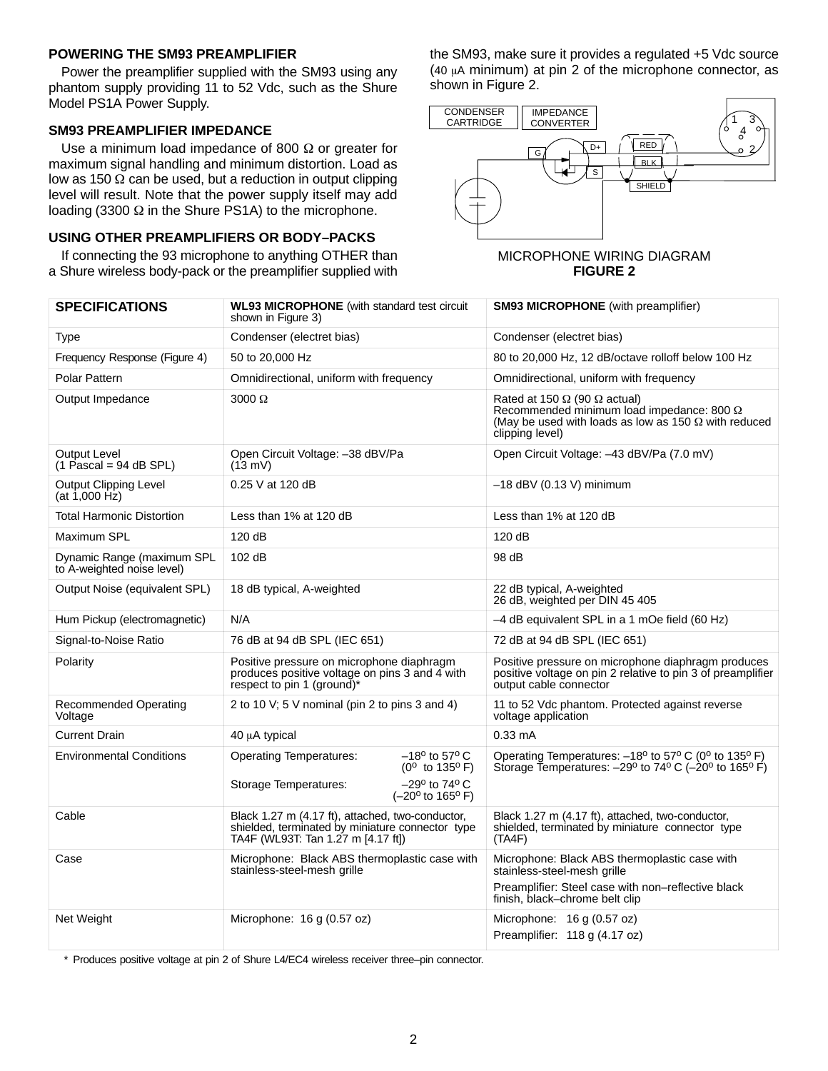## **POWERING THE SM93 PREAMPLIFIER**

Power the preamplifier supplied with the SM93 using any phantom supply providing 11 to 52 Vdc, such as the Shure Model PS1A Power Supply.

## **SM93 PREAMPLIFIER IMPEDANCE**

Use a minimum load impedance of 800 Ω or greater for maximum signal handling and minimum distortion. Load as low as 150  $\Omega$  can be used, but a reduction in output clipping level will result. Note that the power supply itself may add loading (3300 Ω in the Shure PS1A) to the microphone.

## **USING OTHER PREAMPLIFIERS OR BODY–PACKS**

If connecting the 93 microphone to anything OTHER than a Shure wireless body-pack or the preamplifier supplied with the SM93, make sure it provides a regulated +5 Vdc source (40  $\mu$ A minimum) at pin 2 of the microphone connector, as shown in Figure 2.



#### MICROPHONE WIRING DIAGRAM **FIGURE 2**

| <b>SPECIFICATIONS</b>                                    | <b>WL93 MICROPHONE</b> (with standard test circuit<br>shown in Figure 3)                                                                   | <b>SM93 MICROPHONE</b> (with preamplifier)                                                                                                                                       |
|----------------------------------------------------------|--------------------------------------------------------------------------------------------------------------------------------------------|----------------------------------------------------------------------------------------------------------------------------------------------------------------------------------|
| Type                                                     | Condenser (electret bias)                                                                                                                  | Condenser (electret bias)                                                                                                                                                        |
| Frequency Response (Figure 4)                            | 50 to 20,000 Hz                                                                                                                            | 80 to 20,000 Hz, 12 dB/octave rolloff below 100 Hz                                                                                                                               |
| <b>Polar Pattern</b>                                     | Omnidirectional, uniform with frequency                                                                                                    | Omnidirectional, uniform with frequency                                                                                                                                          |
| Output Impedance                                         | $3000 \Omega$                                                                                                                              | Rated at 150 $\Omega$ (90 $\Omega$ actual)<br>Recommended minimum load impedance: 800 $\Omega$<br>(May be used with loads as low as 150 $\Omega$ with reduced<br>clipping level) |
| Output Level<br>$(1$ Pascal = 94 dB SPL)                 | Open Circuit Voltage: -38 dBV/Pa<br>$(13 \text{ mV})$                                                                                      | Open Circuit Voltage: -43 dBV/Pa (7.0 mV)                                                                                                                                        |
| <b>Output Clipping Level</b><br>(at 1,000 Hz)            | 0.25 V at 120 dB                                                                                                                           | $-18$ dBV (0.13 V) minimum                                                                                                                                                       |
| <b>Total Harmonic Distortion</b>                         | Less than 1% at 120 dB                                                                                                                     | Less than 1% at 120 dB                                                                                                                                                           |
| Maximum SPL                                              | 120 dB                                                                                                                                     | 120 dB                                                                                                                                                                           |
| Dynamic Range (maximum SPL<br>to A-weighted noise level) | 102 dB                                                                                                                                     | 98 dB                                                                                                                                                                            |
| Output Noise (equivalent SPL)                            | 18 dB typical, A-weighted                                                                                                                  | 22 dB typical, A-weighted<br>26 dB, weighted per DIN 45 405                                                                                                                      |
| Hum Pickup (electromagnetic)                             | N/A                                                                                                                                        | -4 dB equivalent SPL in a 1 mOe field (60 Hz)                                                                                                                                    |
| Signal-to-Noise Ratio                                    | 76 dB at 94 dB SPL (IEC 651)                                                                                                               | 72 dB at 94 dB SPL (IEC 651)                                                                                                                                                     |
| Polarity                                                 | Positive pressure on microphone diaphragm<br>produces positive voltage on pins 3 and 4 with<br>respect to pin 1 (ground)*                  | Positive pressure on microphone diaphragm produces<br>positive voltage on pin 2 relative to pin 3 of preamplifier<br>output cable connector                                      |
| <b>Recommended Operating</b><br>Voltage                  | 2 to 10 V; 5 V nominal (pin 2 to pins 3 and 4)                                                                                             | 11 to 52 Vdc phantom. Protected against reverse<br>voltage application                                                                                                           |
| <b>Current Drain</b>                                     | 40 µA typical                                                                                                                              | $0.33 \text{ mA}$                                                                                                                                                                |
| <b>Environmental Conditions</b>                          | $-18^{\circ}$ to 57° C<br><b>Operating Temperatures:</b><br>(0° to 135°F)<br>$-29^{\circ}$ to 74° C<br>Storage Temperatures:               | Operating Temperatures: -18° to 57° C (0° to 135° F)<br>Storage Temperatures: $-29^{\circ}$ to 74° C ( $-20^{\circ}$ to 165° F)                                                  |
|                                                          | $(-20^{\circ}$ to 165° F)                                                                                                                  |                                                                                                                                                                                  |
| Cable                                                    | Black 1.27 m (4.17 ft), attached, two-conductor,<br>shielded, terminated by miniature connector type<br>TA4F (WL93T: Tan 1.27 m [4.17 ft]) | Black 1.27 m (4.17 ft), attached, two-conductor,<br>shielded, terminated by miniature connector type<br>(TAAF)                                                                   |
| Case                                                     | Microphone: Black ABS thermoplastic case with<br>stainless-steel-mesh grille                                                               | Microphone: Black ABS thermoplastic case with<br>stainless-steel-mesh grille                                                                                                     |
|                                                          |                                                                                                                                            | Preamplifier: Steel case with non-reflective black<br>finish, black-chrome belt clip                                                                                             |
| Net Weight                                               | Microphone: 16 g (0.57 oz)                                                                                                                 | Microphone: $16 g (0.57 oz)$                                                                                                                                                     |
|                                                          |                                                                                                                                            | Preamplifier: 118 g (4.17 oz)                                                                                                                                                    |

\* Produces positive voltage at pin 2 of Shure L4/EC4 wireless receiver three–pin connector.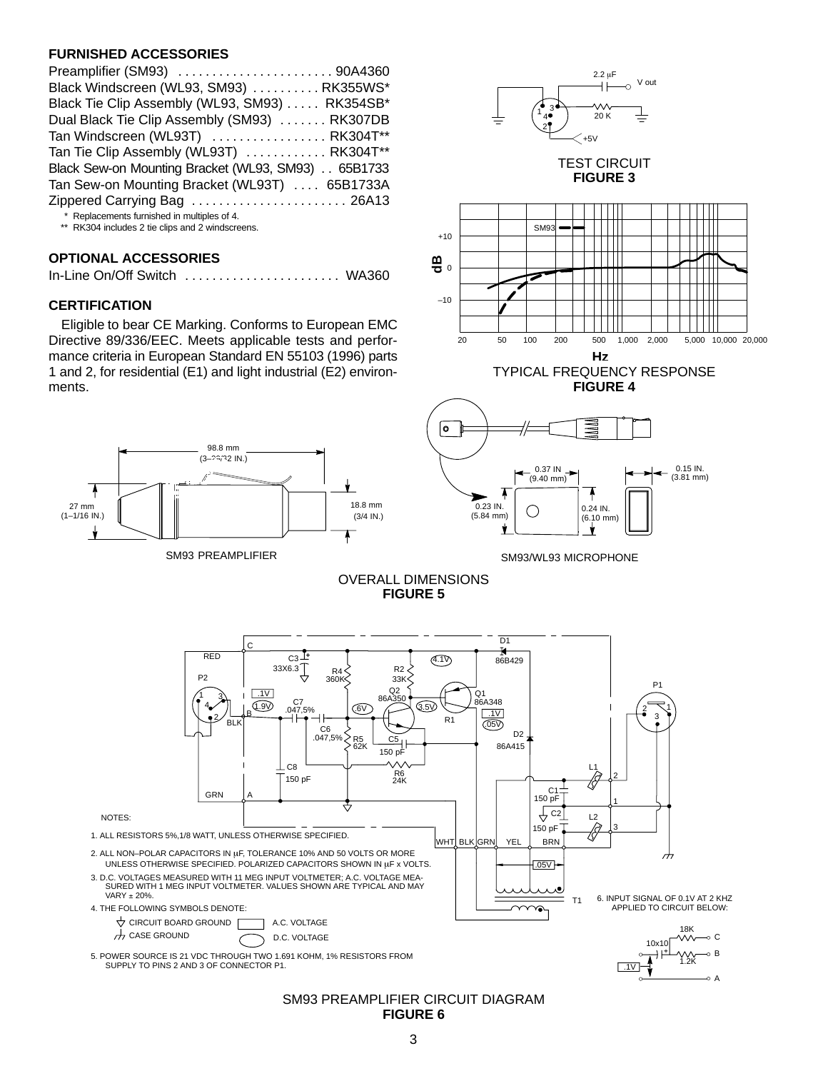## **FURNISHED ACCESSORIES**

\*\* RK304 includes 2 tie clips and 2 windscreens.

## **OPTIONAL ACCESSORIES**

|--|--|--|

## **CERTIFICATION**

Eligible to bear CE Marking. Conforms to European EMC Directive 89/336/EEC. Meets applicable tests and performance criteria in European Standard EN 55103 (1996) parts 1 and 2, for residential (E1) and light industrial (E2) environments.



SM93 PREAMPLIFIER



TEST CIRCUIT **FIGURE 3**



TYPICAL FREQUENCY RESPONSE **FIGURE 4**



SM93/WL93 MICROPHONE

OVERALL DIMENSIONS **FIGURE 5**



#### SM93 PREAMPLIFIER CIRCUIT DIAGRAM **FIGURE 6**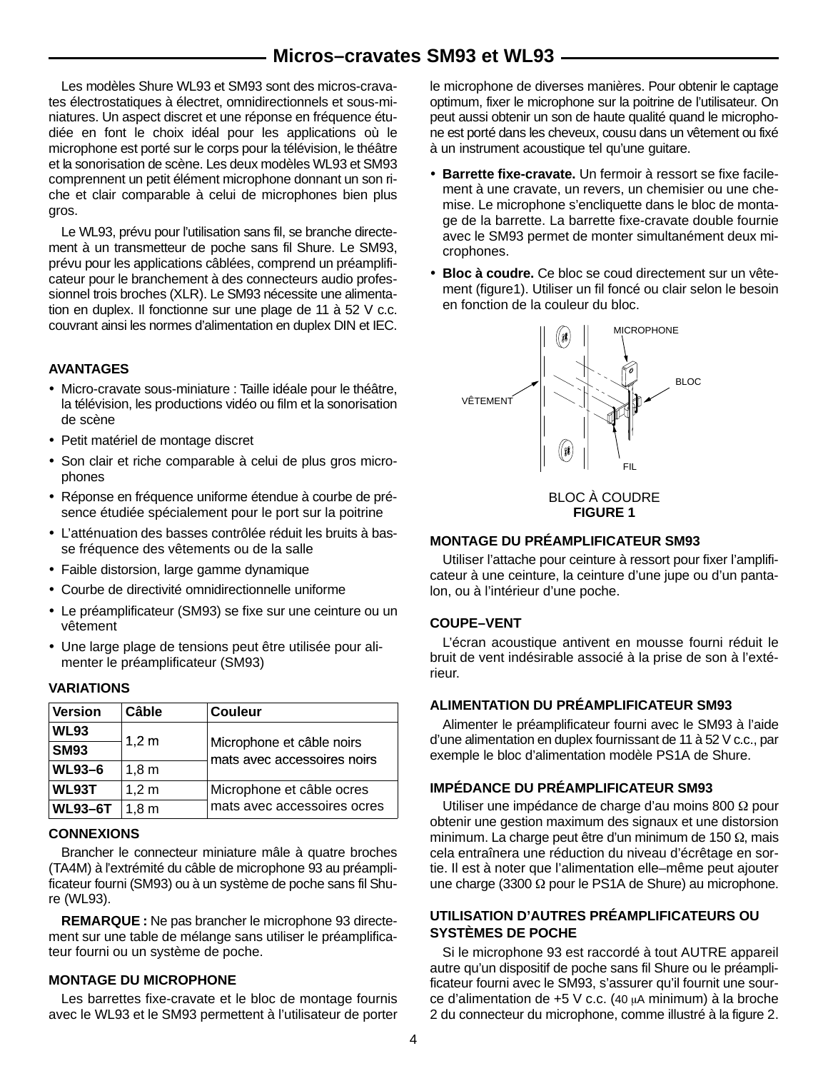## **Micros–cravates SM93 et WL93**

Les modèles Shure WL93 et SM93 sont des micros-cravates électrostatiques à électret, omnidirectionnels et sous-miniatures. Un aspect discret et une réponse en fréquence étudiée en font le choix idéal pour les applications où le microphone est porté sur le corps pour la télévision, le théâtre et la sonorisation de scène. Les deux modèles WL93 et SM93 comprennent un petit élément microphone donnant un son riche et clair comparable à celui de microphones bien plus gros.

Le WL93, prévu pour l'utilisation sans fil, se branche directement à un transmetteur de poche sans fil Shure. Le SM93, prévu pour les applications câblées, comprend un préamplificateur pour le branchement à des connecteurs audio professionnel trois broches (XLR). Le SM93 nécessite une alimentation en duplex. Il fonctionne sur une plage de 11 à 52 V c.c. couvrant ainsi les normes d'alimentation en duplex DIN et IEC.

## **AVANTAGES**

- Micro-cravate sous-miniature : Taille idéale pour le théâtre, la télévision, les productions vidéo ou film et la sonorisation de scène
- Petit matériel de montage discret
- Son clair et riche comparable à celui de plus gros microphones
- Réponse en fréquence uniforme étendue à courbe de présence étudiée spécialement pour le port sur la poitrine
- L'atténuation des basses contrôlée réduit les bruits à basse fréquence des vêtements ou de la salle
- Faible distorsion, large gamme dynamique
- Courbe de directivité omnidirectionnelle uniforme
- Le préamplificateur (SM93) se fixe sur une ceinture ou un vêtement
- Une large plage de tensions peut être utilisée pour alimenter le préamplificateur (SM93)

#### **VARIATIONS**

| <b>Version</b> | Câble            | <b>Couleur</b>                                           |
|----------------|------------------|----------------------------------------------------------|
| <b>WL93</b>    | 1,2 m            |                                                          |
| <b>SM93</b>    |                  | Microphone et câble noirs<br>mats avec accessoires noirs |
| <b>WL93-6</b>  | 1,8m             |                                                          |
| <b>WL93T</b>   | $1,2 \text{ m}$  | Microphone et câble ocres                                |
| <b>WL93-6T</b> | 1.8 <sub>m</sub> | mats avec accessoires ocres                              |

## **CONNEXIONS**

Brancher le connecteur miniature mâle à quatre broches (TA4M) à l'extrémité du câble de microphone 93 au préamplificateur fourni (SM93) ou à un système de poche sans fil Shure (WL93).

**REMARQUE :** Ne pas brancher le microphone 93 directement sur une table de mélange sans utiliser le préamplificateur fourni ou un système de poche.

#### **MONTAGE DU MICROPHONE**

Les barrettes fixe-cravate et le bloc de montage fournis avec le WL93 et le SM93 permettent à l'utilisateur de porter le microphone de diverses manières. Pour obtenir le captage optimum, fixer le microphone sur la poitrine de l'utilisateur. On peut aussi obtenir un son de haute qualité quand le microphone est porté dans les cheveux, cousu dans un vêtement ou fixé à un instrument acoustique tel qu'une guitare.

- **Barrette fixe-cravate.** Un fermoir à ressort se fixe facilement à une cravate, un revers, un chemisier ou une chemise. Le microphone s'encliquette dans le bloc de montage de la barrette. La barrette fixe-cravate double fournie avec le SM93 permet de monter simultanément deux microphones.
- **Bloc à coudre.** Ce bloc se coud directement sur un vêtement (figure1). Utiliser un fil foncé ou clair selon le besoin en fonction de la couleur du bloc.



BLOC À COUDRE **FIGURE 1**

## **MONTAGE DU PRÉAMPLIFICATEUR SM93**

Utiliser l'attache pour ceinture à ressort pour fixer l'amplificateur à une ceinture, la ceinture d'une jupe ou d'un pantalon, ou à l'intérieur d'une poche.

#### **COUPE–VENT**

L'écran acoustique antivent en mousse fourni réduit le bruit de vent indésirable associé à la prise de son à l'extérieur.

#### **ALIMENTATION DU PRÉAMPLIFICATEUR SM93**

Alimenter le préamplificateur fourni avec le SM93 à l'aide d'une alimentation en duplex fournissant de 11 à 52 V c.c., par exemple le bloc d'alimentation modèle PS1A de Shure.

#### **IMPÉDANCE DU PRÉAMPLIFICATEUR SM93**

Utiliser une impédance de charge d'au moins 800 Ω pour obtenir une gestion maximum des signaux et une distorsion minimum. La charge peut être d'un minimum de 150 Ω, mais cela entraînera une réduction du niveau d'écrêtage en sortie. Il est à noter que l'alimentation elle–même peut ajouter une charge (3300 Ω pour le PS1A de Shure) au microphone.

## **UTILISATION D'AUTRES PRÉAMPLIFICATEURS OU SYSTÈMES DE POCHE**

Si le microphone 93 est raccordé à tout AUTRE appareil autre qu'un dispositif de poche sans fil Shure ou le préamplificateur fourni avec le SM93, s'assurer qu'il fournit une source d'alimentation de  $+5$  V c.c. (40 µA minimum) à la broche 2 du connecteur du microphone, comme illustré à la figure 2.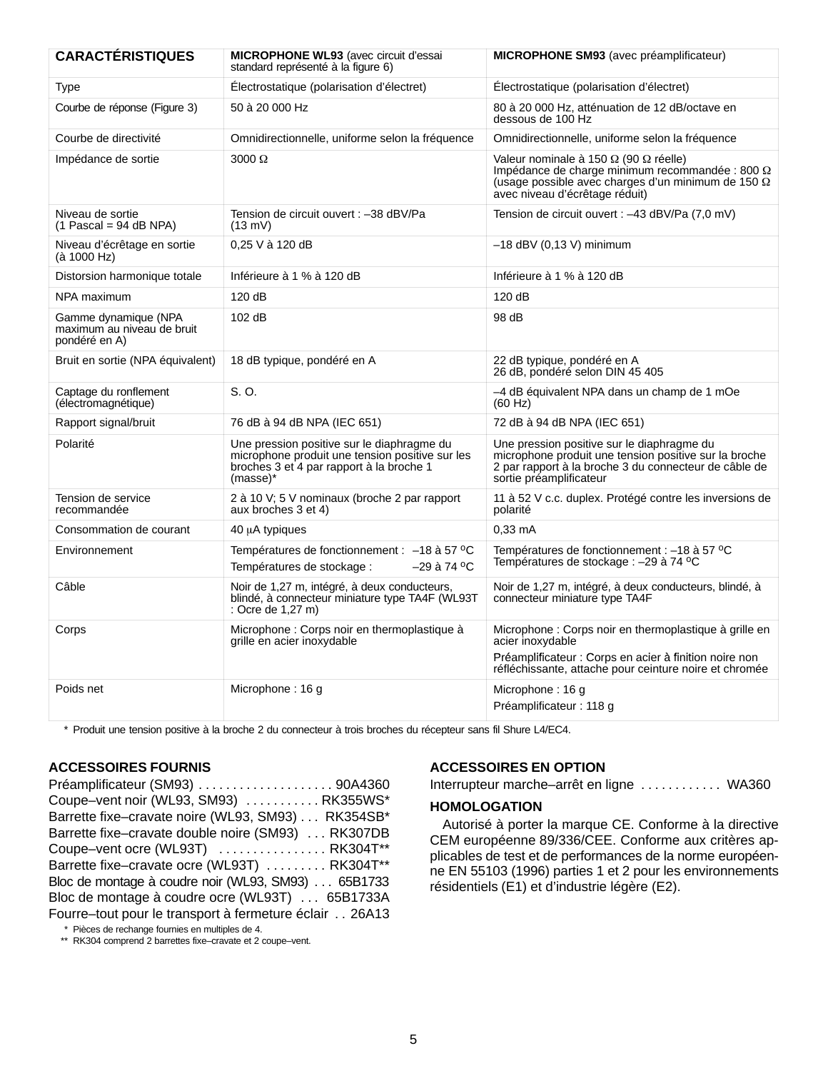| <b>CARACTÉRISTIQUES</b>                                             | MICROPHONE WL93 (avec circuit d'essai<br>standard représenté à la figure 6)                                                                           | <b>MICROPHONE SM93</b> (avec préamplificateur)                                                                                                                                                        |  |
|---------------------------------------------------------------------|-------------------------------------------------------------------------------------------------------------------------------------------------------|-------------------------------------------------------------------------------------------------------------------------------------------------------------------------------------------------------|--|
| Type                                                                | Électrostatique (polarisation d'électret)                                                                                                             | Électrostatique (polarisation d'électret)                                                                                                                                                             |  |
| Courbe de réponse (Figure 3)                                        | 50 à 20 000 Hz                                                                                                                                        | 80 à 20 000 Hz, atténuation de 12 dB/octave en<br>dessous de 100 Hz                                                                                                                                   |  |
| Courbe de directivité                                               | Omnidirectionnelle, uniforme selon la fréquence                                                                                                       | Omnidirectionnelle, uniforme selon la fréquence                                                                                                                                                       |  |
| Impédance de sortie                                                 | $3000 \Omega$                                                                                                                                         | Valeur nominale à 150 $\Omega$ (90 $\Omega$ réelle)<br>Impédance de charge minimum recommandée : 800 Ω<br>$(usage possible avec charges d'un minimum de 150 \Omega$<br>avec niveau d'écrêtage réduit) |  |
| Niveau de sortie<br>$(1$ Pascal = 94 dB NPA)                        | Tension de circuit ouvert : -38 dBV/Pa<br>$(13 \text{ mV})$                                                                                           | Tension de circuit ouvert : -43 dBV/Pa (7,0 mV)                                                                                                                                                       |  |
| Niveau d'écrêtage en sortie<br>(à 1000 Hz)                          | 0,25 V à 120 dB                                                                                                                                       | $-18$ dBV (0,13 V) minimum                                                                                                                                                                            |  |
| Distorsion harmonique totale                                        | Inférieure à 1 % à 120 dB                                                                                                                             | Inférieure à 1 % à 120 dB                                                                                                                                                                             |  |
| NPA maximum                                                         | 120 dB                                                                                                                                                | 120dB                                                                                                                                                                                                 |  |
| Gamme dynamique (NPA<br>maximum au niveau de bruit<br>pondéré en A) | 102 dB                                                                                                                                                | 98 dB                                                                                                                                                                                                 |  |
| Bruit en sortie (NPA équivalent)                                    | 18 dB typique, pondéré en A                                                                                                                           | 22 dB typique, pondéré en A<br>26 dB, pondéré selon DIN 45 405                                                                                                                                        |  |
| Captage du ronflement<br>(électromagnétique)                        | S. O.                                                                                                                                                 | -4 dB équivalent NPA dans un champ de 1 mOe<br>(60 Hz)                                                                                                                                                |  |
| Rapport signal/bruit                                                | 76 dB à 94 dB NPA (IEC 651)                                                                                                                           | 72 dB à 94 dB NPA (IEC 651)                                                                                                                                                                           |  |
| Polarité                                                            | Une pression positive sur le diaphragme du<br>microphone produit une tension positive sur les<br>broches 3 et 4 par rapport à la broche 1<br>(masse)* | Une pression positive sur le diaphragme du<br>microphone produit une tension positive sur la broche<br>2 par rapport à la broche 3 du connecteur de câble de<br>sortie préamplificateur               |  |
| Tension de service<br>recommandée                                   | 2 à 10 V; 5 V nominaux (broche 2 par rapport<br>aux broches 3 et 4)                                                                                   | 11 à 52 V c.c. duplex. Protégé contre les inversions de<br>polarité                                                                                                                                   |  |
| Consommation de courant                                             | 40 µA typiques                                                                                                                                        | $0,33$ mA                                                                                                                                                                                             |  |
| Environnement                                                       | Températures de fonctionnement : $-18$ à 57 °C<br>-29 à 74 °C<br>Températures de stockage :                                                           | Températures de fonctionnement : -18 à 57 °C<br>Températures de stockage : - 29 à 74 °C                                                                                                               |  |
| Câble                                                               | Noir de 1,27 m, intégré, à deux conducteurs,<br>blindé, à connecteur miniature type TA4F (WL93T<br>: Ocre de 1,27 m)                                  | Noir de 1,27 m, intégré, à deux conducteurs, blindé, à<br>connecteur miniature type TA4F                                                                                                              |  |
| Corps                                                               | Microphone : Corps noir en thermoplastique à<br>grille en acier inoxydable                                                                            | Microphone : Corps noir en thermoplastique à grille en<br>acier inoxydable<br>Préamplificateur : Corps en acier à finition noire non                                                                  |  |
|                                                                     |                                                                                                                                                       | réfléchissante, attache pour ceinture noire et chromée                                                                                                                                                |  |
| Poids net                                                           | Microphone: 16 g                                                                                                                                      | Microphone: 16 g<br>Préamplificateur : 118 g                                                                                                                                                          |  |
|                                                                     |                                                                                                                                                       |                                                                                                                                                                                                       |  |

\* Produit une tension positive à la broche 2 du connecteur à trois broches du récepteur sans fil Shure L4/EC4.

## **ACCESSOIRES FOURNIS**

Préamplificateur (SM93) 90A4360 . . . . . . . . . . . . . . . . . . . . Coupe–vent noir (WL93, SM93) .......... . RK355WS\* Barrette fixe–cravate noire (WL93, SM93) . . . RK354SB\* Barrette fixe-cravate double noire (SM93) ... RK307DB Coupe–vent ocre (WL93T) ................. RK304T\*\* Barrette fixe-cravate ocre (WL93T) ......... RK304T\*\* Bloc de montage à coudre noir (WL93, SM93) . . . 65B1733 Bloc de montage à coudre ocre (WL93T) ... 65B1733A Fourre–tout pour le transport à fermeture éclair . . 26A13

\* Pièces de rechange fournies en multiples de 4.

\*\* RK304 comprend 2 barrettes fixe–cravate et 2 coupe–vent.

## **ACCESSOIRES EN OPTION**

Interrupteur marche–arrêt en ligne ............ WA360

## **HOMOLOGATION**

Autorisé à porter la marque CE. Conforme à la directive CEM européenne 89/336/CEE. Conforme aux critères applicables de test et de performances de la norme européenne EN 55103 (1996) parties 1 et 2 pour les environnements résidentiels (E1) et d'industrie légère (E2).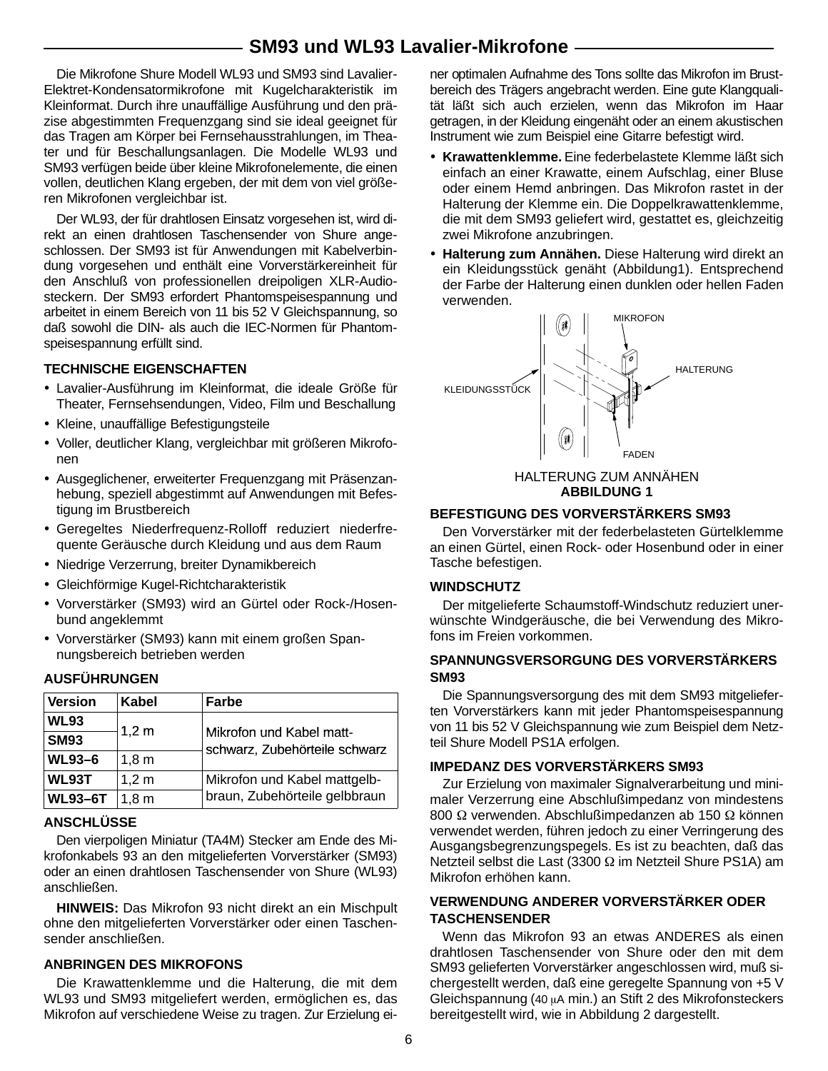# **SM93 und WL93 Lavalier-Mikrofone**

Die Mikrofone Shure Modell WL93 und SM93 sind Lavalier-Elektret-Kondensatormikrofone mit Kugelcharakteristik im Kleinformat. Durch ihre unauffällige Ausführung und den präzise abgestimmten Frequenzgang sind sie ideal geeignet für das Tragen am Körper bei Fernsehausstrahlungen, im Theater und für Beschallungsanlagen. Die Modelle WL93 und SM93 verfügen beide über kleine Mikrofonelemente, die einen vollen, deutlichen Klang ergeben, der mit dem von viel größeren Mikrofonen vergleichbar ist.

Der WL93, der für drahtlosen Einsatz vorgesehen ist, wird direkt an einen drahtlosen Taschensender von Shure angeschlossen. Der SM93 ist für Anwendungen mit Kabelverbindung vorgesehen und enthält eine Vorverstärkereinheit für den Anschluß von professionellen dreipoligen XLR-Audiosteckern. Der SM93 erfordert Phantomspeisespannung und arbeitet in einem Bereich von 11 bis 52 V Gleichspannung, so daß sowohl die DIN- als auch die IEC-Normen für Phantomspeisespannung erfüllt sind.

#### **TECHNISCHE EIGENSCHAFTEN**

- Lavalier-Ausführung im Kleinformat, die ideale Größe für Theater, Fernsehsendungen, Video, Film und Beschallung
- Kleine, unauffällige Befestigungsteile
- Voller, deutlicher Klang, vergleichbar mit größeren Mikrofonen
- Ausgeglichener, erweiterter Frequenzgang mit Präsenzanhebung, speziell abgestimmt auf Anwendungen mit Befestigung im Brustbereich
- Geregeltes Niederfrequenz-Rolloff reduziert niederfrequente Geräusche durch Kleidung und aus dem Raum
- Niedrige Verzerrung, breiter Dynamikbereich
- Gleichförmige Kugel-Richtcharakteristik
- Vorverstärker (SM93) wird an Gürtel oder Rock-/Hosenbund angeklemmt
- Vorverstärker (SM93) kann mit einem großen Spannungsbereich betrieben werden

## **AUSFÜHRUNGEN**

| <b>Version</b> | Kabel            | Farbe                                                     |
|----------------|------------------|-----------------------------------------------------------|
| <b>WL93</b>    |                  |                                                           |
| <b>SM93</b>    | 1,2 m            | Mikrofon und Kabel matt-<br>schwarz, Zubehörteile schwarz |
| <b>WL93-6</b>  | 1.8 <sub>m</sub> |                                                           |
| WL93T          | $1,2 \text{ m}$  | Mikrofon und Kabel mattgelb-                              |
| <b>WL93-6T</b> | 1.8 <sub>m</sub> | braun, Zubehörteile gelbbraun                             |

## **ANSCHLÜSSE**

Den vierpoligen Miniatur (TA4M) Stecker am Ende des Mikrofonkabels 93 an den mitgelieferten Vorverstärker (SM93) oder an einen drahtlosen Taschensender von Shure (WL93) anschließen.

**HINWEIS:** Das Mikrofon 93 nicht direkt an ein Mischpult ohne den mitgelieferten Vorverstärker oder einen Taschensender anschließen.

#### **ANBRINGEN DES MIKROFONS**

Die Krawattenklemme und die Halterung, die mit dem WL93 und SM93 mitgeliefert werden, ermöglichen es, das Mikrofon auf verschiedene Weise zu tragen. Zur Erzielung einer optimalen Aufnahme des Tons sollte das Mikrofon im Brustbereich des Trägers angebracht werden. Eine gute Klangqualität läßt sich auch erzielen, wenn das Mikrofon im Haar getragen, in der Kleidung eingenäht oder an einem akustischen Instrument wie zum Beispiel eine Gitarre befestigt wird.

- **Krawattenklemme.** Eine federbelastete Klemme läßt sich einfach an einer Krawatte, einem Aufschlag, einer Bluse oder einem Hemd anbringen. Das Mikrofon rastet in der Halterung der Klemme ein. Die Doppelkrawattenklemme, die mit dem SM93 geliefert wird, gestattet es, gleichzeitig zwei Mikrofone anzubringen.
- **Halterung zum Annähen.** Diese Halterung wird direkt an ein Kleidungsstück genäht (Abbildung1). Entsprechend der Farbe der Halterung einen dunklen oder hellen Faden verwenden.



HALTERUNG ZUM ANNÄHEN **ABBILDUNG 1**

#### **BEFESTIGUNG DES VORVERSTÄRKERS SM93**

Den Vorverstärker mit der federbelasteten Gürtelklemme an einen Gürtel, einen Rock- oder Hosenbund oder in einer Tasche befestigen.

## **WINDSCHUTZ**

Der mitgelieferte Schaumstoff-Windschutz reduziert unerwünschte Windgeräusche, die bei Verwendung des Mikrofons im Freien vorkommen.

## **SPANNUNGSVERSORGUNG DES VORVERSTÄRKERS SM93**

Die Spannungsversorgung des mit dem SM93 mitgelieferten Vorverstärkers kann mit jeder Phantomspeisespannung von 11 bis 52 V Gleichspannung wie zum Beispiel dem Netzteil Shure Modell PS1A erfolgen.

## **IMPEDANZ DES VORVERSTÄRKERS SM93**

Zur Erzielung von maximaler Signalverarbeitung und minimaler Verzerrung eine Abschlußimpedanz von mindestens 800 Ω verwenden. Abschlußimpedanzen ab 150 Ω können verwendet werden, führen jedoch zu einer Verringerung des Ausgangsbegrenzungspegels. Es ist zu beachten, daß das Netzteil selbst die Last (3300 Ω im Netzteil Shure PS1A) am Mikrofon erhöhen kann.

## **VERWENDUNG ANDERER VORVERSTÄRKER ODER TASCHENSENDER**

Wenn das Mikrofon 93 an etwas ANDERES als einen drahtlosen Taschensender von Shure oder den mit dem SM93 gelieferten Vorverstärker angeschlossen wird, muß sichergestellt werden, daß eine geregelte Spannung von +5 V Gleichspannung (40 µA min.) an Stift 2 des Mikrofonsteckers bereitgestellt wird, wie in Abbildung 2 dargestellt.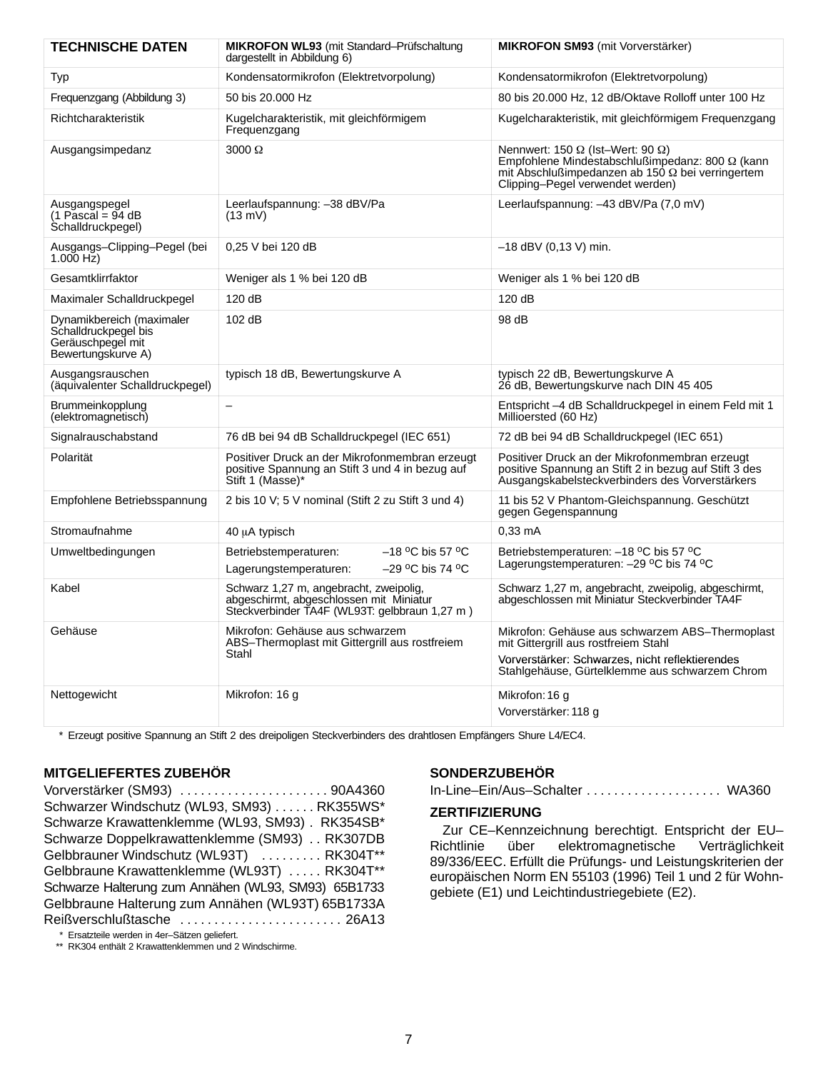| <b>TECHNISCHE DATEN</b>                                                                      | <b>MIKROFON WL93</b> (mit Standard-Prüfschaltung<br>dargestellt in Abbildung 6)                                                    | <b>MIKROFON SM93</b> (mit Vorverstärker)                                                                                                                                                                 |
|----------------------------------------------------------------------------------------------|------------------------------------------------------------------------------------------------------------------------------------|----------------------------------------------------------------------------------------------------------------------------------------------------------------------------------------------------------|
| Typ                                                                                          | Kondensatormikrofon (Elektretvorpolung)                                                                                            | Kondensatormikrofon (Elektretvorpolung)                                                                                                                                                                  |
| Frequenzgang (Abbildung 3)                                                                   | 50 bis 20,000 Hz                                                                                                                   | 80 bis 20.000 Hz, 12 dB/Oktave Rolloff unter 100 Hz                                                                                                                                                      |
| Richtcharakteristik                                                                          | Kugelcharakteristik, mit gleichförmigem<br>Frequenzgang                                                                            | Kugelcharakteristik, mit gleichförmigem Frequenzgang                                                                                                                                                     |
| Ausgangsimpedanz                                                                             | $3000 \Omega$                                                                                                                      | Nennwert: 150 $\Omega$ (Ist-Wert: 90 $\Omega$ )<br>Empfohlene Mindestabschlußimpedanz: 800 $\Omega$ (kann<br>mit Abschlußimpedanzen ab 150 $\Omega$ bei verringertem<br>Clipping-Pegel verwendet werden) |
| Ausgangspegel<br>$(1 \text{ Pascal} = 94 \text{ dB})$<br>Schalldruckpegel)                   | Leerlaufspannung: -38 dBV/Pa<br>$(13 \text{ mV})$                                                                                  | Leerlaufspannung: -43 dBV/Pa (7,0 mV)                                                                                                                                                                    |
| Ausgangs-Clipping-Pegel (bei<br>$1.000$ Hz)                                                  | 0,25 V bei 120 dB                                                                                                                  | $-18$ dBV (0,13 V) min.                                                                                                                                                                                  |
| Gesamtklirrfaktor                                                                            | Weniger als 1 % bei 120 dB                                                                                                         | Weniger als 1 % bei 120 dB                                                                                                                                                                               |
| Maximaler Schalldruckpegel                                                                   | 120 dB                                                                                                                             | 120 dB                                                                                                                                                                                                   |
| Dynamikbereich (maximaler<br>Schalldruckpegel bis<br>Geräuschpegel mit<br>Bewertungskurve A) | 102 dB                                                                                                                             | 98 dB                                                                                                                                                                                                    |
| Ausgangsrauschen<br>(äquivalenter Schalldruckpegel)                                          | typisch 18 dB, Bewertungskurve A                                                                                                   | typisch 22 dB, Bewertungskurve A<br>26 dB, Bewertungskurve nach DIN 45 405                                                                                                                               |
| Brummeinkopplung<br>(elektromagnetisch)                                                      |                                                                                                                                    | Entspricht -4 dB Schalldruckpegel in einem Feld mit 1<br>Millioersted (60 Hz)                                                                                                                            |
| Signalrauschabstand                                                                          | 76 dB bei 94 dB Schalldruckpegel (IEC 651)                                                                                         | 72 dB bei 94 dB Schalldruckpegel (IEC 651)                                                                                                                                                               |
| Polarität                                                                                    | Positiver Druck an der Mikrofonmembran erzeugt<br>positive Spannung an Stift 3 und 4 in bezug auf<br>Stift 1 (Masse)*              | Positiver Druck an der Mikrofonmembran erzeugt<br>positive Spannung an Stift 2 in bezug auf Stift 3 des<br>Ausgangskabelsteckverbinders des Vorverstärkers                                               |
| Empfohlene Betriebsspannung                                                                  | 2 bis 10 V; 5 V nominal (Stift 2 zu Stift 3 und 4)                                                                                 | 11 bis 52 V Phantom-Gleichspannung. Geschützt<br>gegen Gegenspannung                                                                                                                                     |
| Stromaufnahme                                                                                | 40 µA typisch                                                                                                                      | $0,33$ mA                                                                                                                                                                                                |
| Umweltbedingungen                                                                            | $-18$ °C bis 57 °C<br>Betriebstemperaturen:<br>$-29$ °C bis 74 °C<br>Lagerungstemperaturen:                                        | Betriebstemperaturen: - 18 °C bis 57 °C<br>Lagerungstemperaturen: - 29 °C bis 74 °C                                                                                                                      |
| Kabel                                                                                        | Schwarz 1,27 m, angebracht, zweipolig,<br>abgeschirmt, abgeschlossen mit Miniatur<br>Steckverbinder TA4F (WL93T: gelbbraun 1,27 m) | Schwarz 1,27 m, angebracht, zweipolig, abgeschirmt,<br>abgeschlossen mit Miniatur Steckverbinder TA4F                                                                                                    |
| Gehäuse                                                                                      | Mikrofon: Gehäuse aus schwarzem<br>ABS-Thermoplast mit Gittergrill aus rostfreiem<br>Stahl                                         | Mikrofon: Gehäuse aus schwarzem ABS-Thermoplast<br>mit Gittergrill aus rostfreiem Stahl<br>Vorverstärker: Schwarzes, nicht reflektierendes<br>Stahlgehäuse, Gürtelklemme aus schwarzem Chrom             |
| Nettogewicht                                                                                 | Mikrofon: 16 g                                                                                                                     | Mikrofon: 16 g<br>Vorverstärker: 118 g                                                                                                                                                                   |

\* Erzeugt positive Spannung an Stift 2 des dreipoligen Steckverbinders des drahtlosen Empfängers Shure L4/EC4.

## **MITGELIEFERTES ZUBEHÖR**

Vorverstärker (SM93) 90A4360 . . . . . . . . . . . . . . . . . . . . . . Schwarzer Windschutz (WL93, SM93) . . . . . . RK355WS\* Schwarze Krawattenklemme (WL93, SM93) . RK354SB\* Schwarze Doppelkrawattenklemme (SM93) . . RK307DB Gelbbrauner Windschutz (WL93T) ......... RK304T\*\* Gelbbraune Krawattenklemme (WL93T) ..... RK304T\*\* Schwarze Halterung zum Annähen (WL93, SM93) 65B1733 Gelbbraune Halterung zum Annähen (WL93T) 65B1733A Reißverschlußtasche ........................ 26A13

\* Ersatzteile werden in 4er–Sätzen geliefert.

\*\* RK304 enthält 2 Krawattenklemmen und 2 Windschirme.

## **SONDERZUBEHÖR**

In-Line–Ein/Aus–Schalter WA360 . . . . . . . . . . . . . . . . . . . .

## **ZERTIFIZIERUNG**

Zur CE–Kennzeichnung berechtigt. Entspricht der EU– Richtlinie über elektromagnetische Verträglichkeit 89/336/EEC. Erfüllt die Prüfungs- und Leistungskriterien der europäischen Norm EN 55103 (1996) Teil 1 und 2 für Wohngebiete (E1) und Leichtindustriegebiete (E2).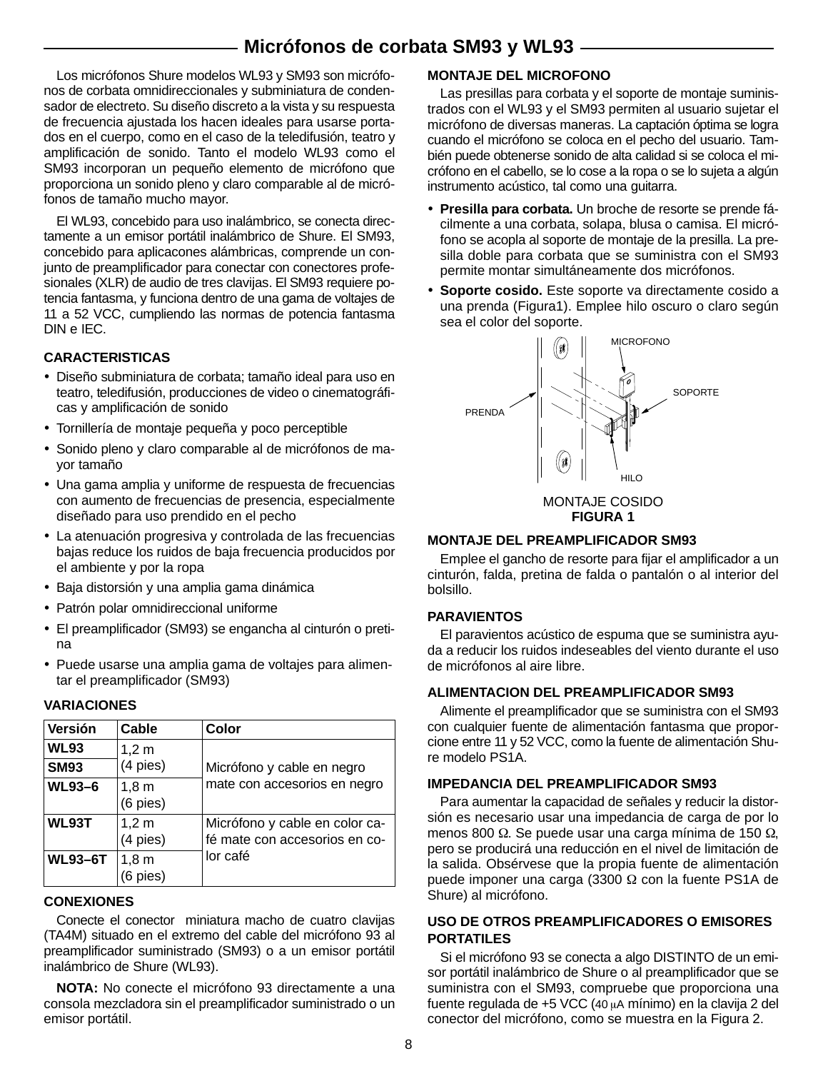# **Micrófonos de corbata SM93 y WL93**

Los micrófonos Shure modelos WL93 y SM93 son micrófonos de corbata omnidireccionales y subminiatura de condensador de electreto. Su diseño discreto a la vista y su respuesta de frecuencia ajustada los hacen ideales para usarse portados en el cuerpo, como en el caso de la teledifusión, teatro y amplificación de sonido. Tanto el modelo WL93 como el SM93 incorporan un pequeño elemento de micrófono que proporciona un sonido pleno y claro comparable al de micrófonos de tamaño mucho mayor.

El WL93, concebido para uso inalámbrico, se conecta directamente a un emisor portátil inalámbrico de Shure. El SM93, concebido para aplicacones alámbricas, comprende un conjunto de preamplificador para conectar con conectores profesionales (XLR) de audio de tres clavijas. El SM93 requiere potencia fantasma, y funciona dentro de una gama de voltajes de 11 a 52 VCC, cumpliendo las normas de potencia fantasma DIN e IEC.

## **CARACTERISTICAS**

- Diseño subminiatura de corbata; tamaño ideal para uso en teatro, teledifusión, producciones de video o cinematográficas y amplificación de sonido
- Tornillería de montaje pequeña y poco perceptible
- Sonido pleno y claro comparable al de micrófonos de mayor tamaño
- Una gama amplia y uniforme de respuesta de frecuencias con aumento de frecuencias de presencia, especialmente diseñado para uso prendido en el pecho
- La atenuación progresiva y controlada de las frecuencias bajas reduce los ruidos de baja frecuencia producidos por el ambiente y por la ropa
- Baja distorsión y una amplia gama dinámica
- Patrón polar omnidireccional uniforme
- El preamplificador (SM93) se engancha al cinturón o pretina
- Puede usarse una amplia gama de voltajes para alimentar el preamplificador (SM93)

## **VARIACIONES**

| Versión        | Cable             | Color                                                           |
|----------------|-------------------|-----------------------------------------------------------------|
| <b>WL93</b>    | $1,2 \text{ m}$   |                                                                 |
| <b>SM93</b>    | $(4$ pies)        | Micrófono y cable en negro                                      |
| <b>WL93-6</b>  | 1,8m<br>(6 pies)  | mate con accesorios en negro                                    |
| WL93T          | 1,2 m<br>(4 pies) | Micrófono y cable en color ca-<br>fé mate con accesorios en co- |
| <b>WL93-6T</b> | 1,8m<br>6 pies)   | lor café                                                        |

## **CONEXIONES**

Conecte el conector miniatura macho de cuatro clavijas (TA4M) situado en el extremo del cable del micrófono 93 al preamplificador suministrado (SM93) o a un emisor portátil inalámbrico de Shure (WL93).

**NOTA:** No conecte el micrófono 93 directamente a una consola mezcladora sin el preamplificador suministrado o un emisor portátil.

## **MONTAJE DEL MICROFONO**

Las presillas para corbata y el soporte de montaje suministrados con el WL93 y el SM93 permiten al usuario sujetar el micrófono de diversas maneras. La captación óptima se logra cuando el micrófono se coloca en el pecho del usuario. También puede obtenerse sonido de alta calidad si se coloca el micrófono en el cabello, se lo cose a la ropa o se lo sujeta a algún instrumento acústico, tal como una guitarra.

- **Presilla para corbata.** Un broche de resorte se prende fácilmente a una corbata, solapa, blusa o camisa. El micrófono se acopla al soporte de montaje de la presilla. La presilla doble para corbata que se suministra con el SM93 permite montar simultáneamente dos micrófonos.
- **Soporte cosido.** Este soporte va directamente cosido a una prenda (Figura1). Emplee hilo oscuro o claro según sea el color del soporte.



MONTAJE COSIDO **FIGURA 1**

## **MONTAJE DEL PREAMPLIFICADOR SM93**

Emplee el gancho de resorte para fijar el amplificador a un cinturón, falda, pretina de falda o pantalón o al interior del bolsillo.

## **PARAVIENTOS**

El paravientos acústico de espuma que se suministra ayuda a reducir los ruidos indeseables del viento durante el uso de micrófonos al aire libre.

## **ALIMENTACION DEL PREAMPLIFICADOR SM93**

Alimente el preamplificador que se suministra con el SM93 con cualquier fuente de alimentación fantasma que proporcione entre 11 y 52 VCC, como la fuente de alimentación Shure modelo PS1A.

## **IMPEDANCIA DEL PREAMPLIFICADOR SM93**

Para aumentar la capacidad de señales y reducir la distorsión es necesario usar una impedancia de carga de por lo menos 800 Ω. Se puede usar una carga mínima de 150 Ω, pero se producirá una reducción en el nivel de limitación de la salida. Obsérvese que la propia fuente de alimentación puede imponer una carga (3300 Ω con la fuente PS1A de Shure) al micrófono.

## **USO DE OTROS PREAMPLIFICADORES O EMISORES PORTATILES**

Si el micrófono 93 se conecta a algo DISTINTO de un emisor portátil inalámbrico de Shure o al preamplificador que se suministra con el SM93, compruebe que proporciona una fuente regulada de +5 VCC (40  $\mu$ A mínimo) en la clavija 2 del conector del micrófono, como se muestra en la Figura 2.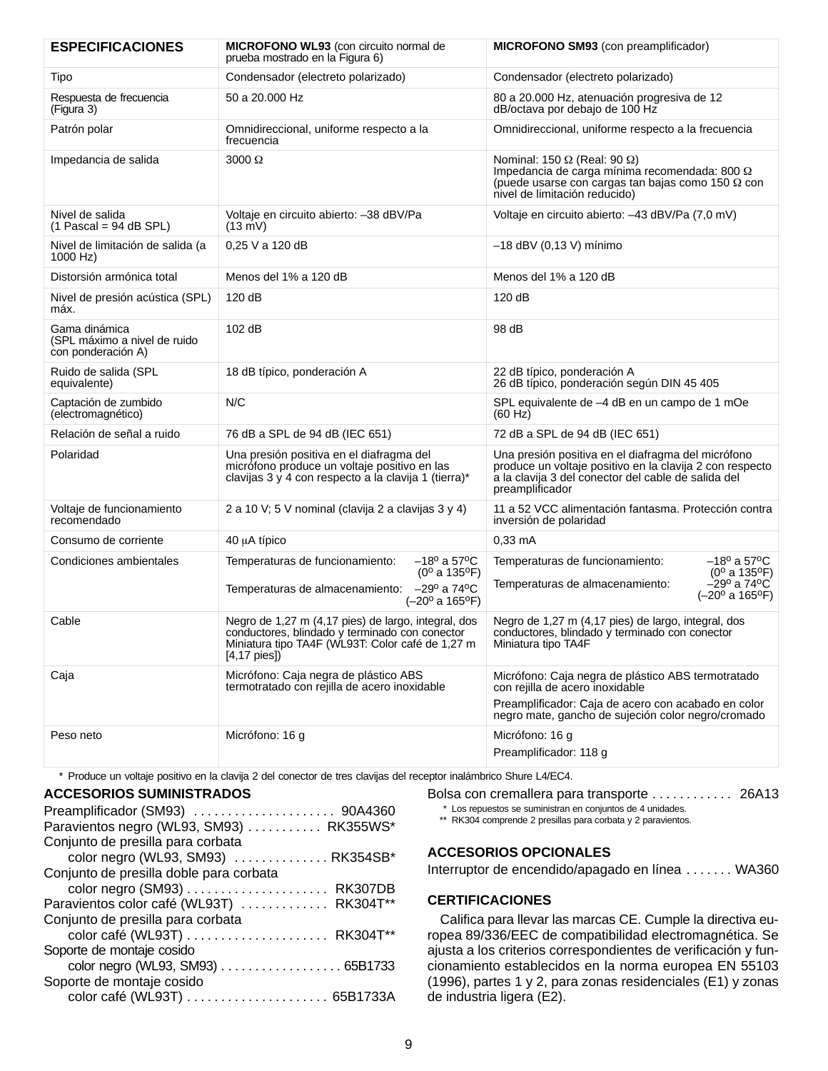| <b>ESPECIFICACIONES</b>                                             | <b>MICROFONO WL93</b> (con circuito normal de<br>prueba mostrado en la Figura 6)                                                                                                    | <b>MICROFONO SM93</b> (con preamplificador)                                                                                                                                              |  |
|---------------------------------------------------------------------|-------------------------------------------------------------------------------------------------------------------------------------------------------------------------------------|------------------------------------------------------------------------------------------------------------------------------------------------------------------------------------------|--|
| Tipo                                                                | Condensador (electreto polarizado)                                                                                                                                                  | Condensador (electreto polarizado)                                                                                                                                                       |  |
| Respuesta de frecuencia<br>(Figura 3)                               | 50 a 20.000 Hz                                                                                                                                                                      | 80 a 20.000 Hz, atenuación progresiva de 12<br>dB/octava por debajo de 100 Hz                                                                                                            |  |
| Patrón polar                                                        | Omnidireccional, uniforme respecto a la<br>frecuencia                                                                                                                               | Omnidireccional, uniforme respecto a la frecuencia                                                                                                                                       |  |
| Impedancia de salida                                                | 3000 Ω                                                                                                                                                                              | Nominal: 150 $\Omega$ (Real: 90 $\Omega$ )<br>Impedancia de carga mínima recomendada: 800 Ω<br>(puede usarse con cargas tan bajas como 150 $\Omega$ con<br>nivel de limitación reducido) |  |
| Nivel de salida<br>$(1$ Pascal = 94 dB SPL)                         | Voltaje en circuito abierto: -38 dBV/Pa<br>$(13 \text{ mV})$                                                                                                                        | Voltaje en circuito abierto: -43 dBV/Pa (7,0 mV)                                                                                                                                         |  |
| Nivel de limitación de salida (a<br>1000 Hz)                        | 0,25 V a 120 dB                                                                                                                                                                     | -18 dBV (0,13 V) mínimo                                                                                                                                                                  |  |
| Distorsión armónica total                                           | Menos del 1% a 120 dB                                                                                                                                                               | Menos del 1% a 120 dB                                                                                                                                                                    |  |
| Nivel de presión acústica (SPL)<br>máx.                             | 120 dB                                                                                                                                                                              | 120dB                                                                                                                                                                                    |  |
| Gama dinámica<br>(SPL máximo a nivel de ruido<br>con ponderación A) | 102 dB                                                                                                                                                                              | 98 dB                                                                                                                                                                                    |  |
| Ruido de salida (SPL<br>equivalente)                                | 18 dB típico, ponderación A                                                                                                                                                         | 22 dB típico, ponderación A<br>26 dB típico, ponderación según DIN 45 405                                                                                                                |  |
| Captación de zumbido<br>(electromagnético)                          | N/C                                                                                                                                                                                 | SPL equivalente de -4 dB en un campo de 1 mOe<br>(60 Hz)                                                                                                                                 |  |
| Relación de señal a ruido                                           | 76 dB a SPL de 94 dB (IEC 651)                                                                                                                                                      | 72 dB a SPL de 94 dB (IEC 651)                                                                                                                                                           |  |
| Polaridad                                                           | Una presión positiva en el diafragma del<br>micrófono produce un voltaje positivo en las<br>clavijas 3 y 4 con respecto a la clavija 1 (tierra)*                                    | Una presión positiva en el diafragma del micrófono<br>produce un voltaje positivo en la clavija 2 con respecto<br>a la clavija 3 del conector del cable de salida del<br>preamplificador |  |
| Voltaje de funcionamiento<br>recomendado                            | 2 a 10 V; 5 V nominal (clavija 2 a clavijas 3 y 4)                                                                                                                                  | 11 a 52 VCC alimentación fantasma. Protección contra<br>inversión de polaridad                                                                                                           |  |
| Consumo de corriente                                                | 40 µA típico                                                                                                                                                                        | $0.33 \text{ mA}$                                                                                                                                                                        |  |
| Condiciones ambientales                                             | $-18^{\circ}$ a 57°C<br>Temperaturas de funcionamiento:<br>$(0^{\circ}$ a 135°F)                                                                                                    | $-18^{\circ}$ a 57°C<br>Temperaturas de funcionamiento:<br>$(0^{\circ}$ a 135 $^{\circ}$ F)                                                                                              |  |
|                                                                     | $-29^{\circ}$ a 74 $^{\circ}$ C<br>Temperaturas de almacenamiento:<br>$(-20^{\circ} a 165^{\circ}F)$                                                                                | $-29^{\circ}$ a 74 $^{\circ}$ C<br>Temperaturas de almacenamiento:<br>$(-20^{\circ} a 165^{\circ}F)$                                                                                     |  |
| Cable                                                               | Negro de 1,27 m (4,17 pies) de largo, integral, dos<br>conductores, blindado y terminado con conector<br>Miniatura tipo TA4F (WL93T: Color café de 1,27 m<br>$[4, 17 \text{ pies}]$ | Negro de 1,27 m (4,17 pies) de largo, integral, dos<br>conductores, blindado y terminado con conector<br>Miniatura tipo TA4F                                                             |  |
| Caja                                                                | Micrófono: Caja negra de plástico ABS<br>termotratado con rejilla de acero inoxidable                                                                                               | Micrófono: Caja negra de plástico ABS termotratado<br>con rejilla de acero inoxidable                                                                                                    |  |
|                                                                     |                                                                                                                                                                                     | Preamplificador: Caja de acero con acabado en color<br>negro mate, gancho de sujeción color negro/cromado                                                                                |  |
| Peso neto                                                           | Micrófono: 16 g                                                                                                                                                                     | Micrófono: 16 g                                                                                                                                                                          |  |
|                                                                     |                                                                                                                                                                                     | Preamplificador: 118 g                                                                                                                                                                   |  |

\* Produce un voltaje positivo en la clavija 2 del conector de tres clavijas del receptor inalámbrico Shure L4/EC4.

#### **ACCESORIOS SUMINISTRADOS**

| Preamplificador (SM93)  90A4360          |  |
|------------------------------------------|--|
| Paravientos negro (WL93, SM93)  RK355WS* |  |
| Conjunto de presilla para corbata        |  |
| color negro (WL93, SM93)  RK354SB*       |  |
| Conjunto de presilla doble para corbata  |  |
|                                          |  |
| Paravientos color café (WL93T)  RK304T** |  |
| Conjunto de presilla para corbata        |  |
|                                          |  |
| Soporte de montaje cosido                |  |
| color negro (WL93, SM93) 65B1733         |  |
| Soporte de montaje cosido                |  |
|                                          |  |
|                                          |  |

Bolsa con cremallera para transporte . . . . . . . . . . . 26A13

\*\* RK304 comprende 2 presillas para corbata y 2 paravientos.

## **ACCESORIOS OPCIONALES**

Interruptor de encendido/apagado en línea . . . . . . . WA360

## **CERTIFICACIONES**

Califica para llevar las marcas CE. Cumple la directiva europea 89/336/EEC de compatibilidad electromagnética. Se ajusta a los criterios correspondientes de verificación y funcionamiento establecidos en la norma europea EN 55103 (1996), partes 1 y 2, para zonas residenciales (E1) y zonas de industria ligera (E2).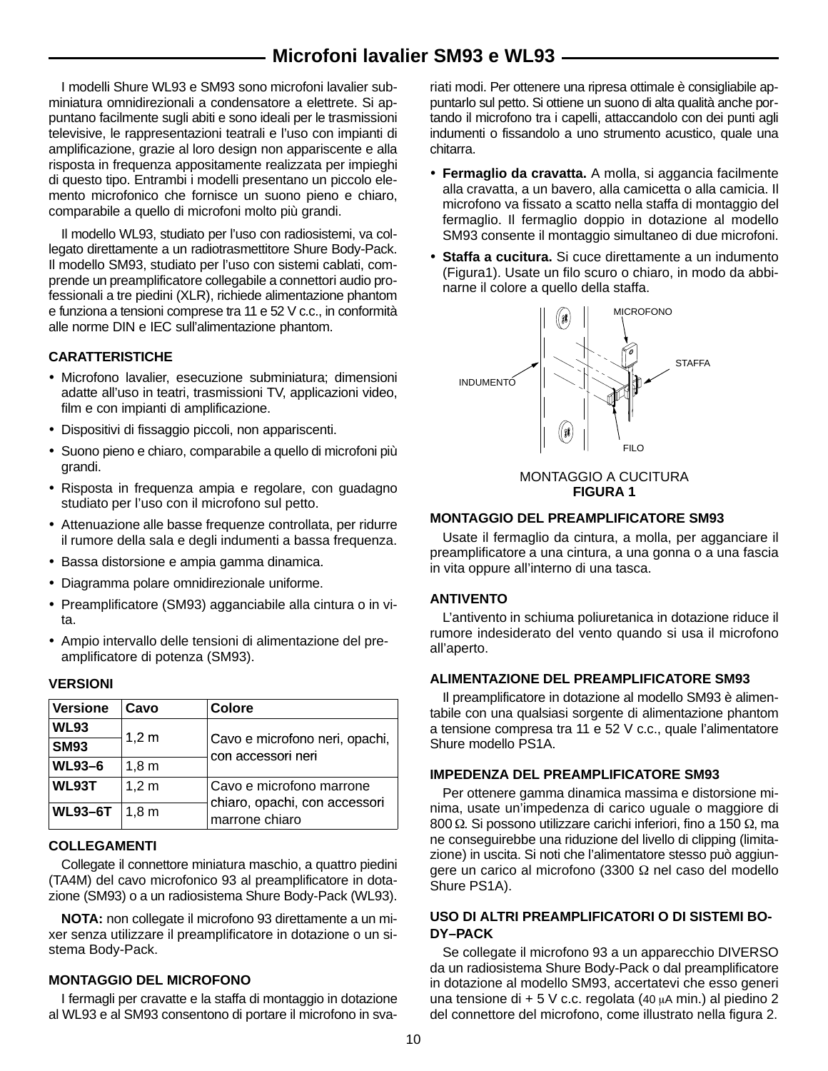# **Microfoni lavalier SM93 e WL93**

I modelli Shure WL93 e SM93 sono microfoni lavalier subminiatura omnidirezionali a condensatore a elettrete. Si appuntano facilmente sugli abiti e sono ideali per le trasmissioni televisive, le rappresentazioni teatrali e l'uso con impianti di amplificazione, grazie al loro design non appariscente e alla risposta in frequenza appositamente realizzata per impieghi di questo tipo. Entrambi i modelli presentano un piccolo elemento microfonico che fornisce un suono pieno e chiaro, comparabile a quello di microfoni molto più grandi.

Il modello WL93, studiato per l'uso con radiosistemi, va collegato direttamente a un radiotrasmettitore Shure Body-Pack. Il modello SM93, studiato per l'uso con sistemi cablati, comprende un preamplificatore collegabile a connettori audio professionali a tre piedini (XLR), richiede alimentazione phantom e funziona a tensioni comprese tra 11 e 52 V c.c., in conformità alle norme DIN e IEC sull'alimentazione phantom.

## **CARATTERISTICHE**

- Microfono lavalier, esecuzione subminiatura; dimensioni adatte all'uso in teatri, trasmissioni TV, applicazioni video, film e con impianti di amplificazione.
- Dispositivi di fissaggio piccoli, non appariscenti.
- Suono pieno e chiaro, comparabile a quello di microfoni più grandi.
- Risposta in frequenza ampia e regolare, con guadagno studiato per l'uso con il microfono sul petto.
- Attenuazione alle basse frequenze controllata, per ridurre il rumore della sala e degli indumenti a bassa frequenza.
- Bassa distorsione e ampia gamma dinamica.
- Diagramma polare omnidirezionale uniforme.
- Preamplificatore (SM93) agganciabile alla cintura o in vita.
- Ampio intervallo delle tensioni di alimentazione del preamplificatore di potenza (SM93).

## **VERSIONI**

| <b>Versione</b> | Cavo             | Colore                                                                      |
|-----------------|------------------|-----------------------------------------------------------------------------|
| <b>WL93</b>     |                  |                                                                             |
| <b>SM93</b>     | 1,2 m            | Cavo e microfono neri, opachi,<br>con accessori neri                        |
| <b>WL93-6</b>   | 1,8m             |                                                                             |
| <b>WL93T</b>    | $1,2 \text{ m}$  | Cavo e microfono marrone<br>chiaro, opachi, con accessori<br>marrone chiaro |
| <b>WL93-6T</b>  | 1.8 <sub>m</sub> |                                                                             |

## **COLLEGAMENTI**

Collegate il connettore miniatura maschio, a quattro piedini (TA4M) del cavo microfonico 93 al preamplificatore in dotazione (SM93) o a un radiosistema Shure Body-Pack (WL93).

**NOTA:** non collegate il microfono 93 direttamente a un mixer senza utilizzare il preamplificatore in dotazione o un sistema Body-Pack.

## **MONTAGGIO DEL MICROFONO**

I fermagli per cravatte e la staffa di montaggio in dotazione al WL93 e al SM93 consentono di portare il microfono in sva-

riati modi. Per ottenere una ripresa ottimale è consigliabile appuntarlo sul petto. Si ottiene un suono di alta qualità anche portando il microfono tra i capelli, attaccandolo con dei punti agli indumenti o fissandolo a uno strumento acustico, quale una chitarra.

- **Fermaglio da cravatta.** A molla, si aggancia facilmente alla cravatta, a un bavero, alla camicetta o alla camicia. Il microfono va fissato a scatto nella staffa di montaggio del fermaglio. Il fermaglio doppio in dotazione al modello SM93 consente il montaggio simultaneo di due microfoni.
- **Staffa a cucitura.** Si cuce direttamente a un indumento (Figura1). Usate un filo scuro o chiaro, in modo da abbinarne il colore a quello della staffa.



#### MONTAGGIO A CUCITURA **FIGURA 1**

#### **MONTAGGIO DEL PREAMPLIFICATORE SM93**

Usate il fermaglio da cintura, a molla, per agganciare il preamplificatore a una cintura, a una gonna o a una fascia in vita oppure all'interno di una tasca.

## **ANTIVENTO**

L'antivento in schiuma poliuretanica in dotazione riduce il rumore indesiderato del vento quando si usa il microfono all'aperto.

## **ALIMENTAZIONE DEL PREAMPLIFICATORE SM93**

Il preamplificatore in dotazione al modello SM93 è alimentabile con una qualsiasi sorgente di alimentazione phantom a tensione compresa tra 11 e 52 V c.c., quale l'alimentatore Shure modello PS1A.

## **IMPEDENZA DEL PREAMPLIFICATORE SM93**

Per ottenere gamma dinamica massima e distorsione minima, usate un'impedenza di carico uguale o maggiore di 800 Ω. Si possono utilizzare carichi inferiori, fino a 150 Ω, ma ne conseguirebbe una riduzione del livello di clipping (limitazione) in uscita. Si noti che l'alimentatore stesso può aggiungere un carico al microfono (3300 Ω nel caso del modello Shure PS1A).

## **USO DI ALTRI PREAMPLIFICATORI O DI SISTEMI BO-DY–PACK**

Se collegate il microfono 93 a un apparecchio DIVERSO da un radiosistema Shure Body-Pack o dal preamplificatore in dotazione al modello SM93, accertatevi che esso generi una tensione di + 5 V c.c. regolata (40  $\mu$ A min.) al piedino 2 del connettore del microfono, come illustrato nella figura 2.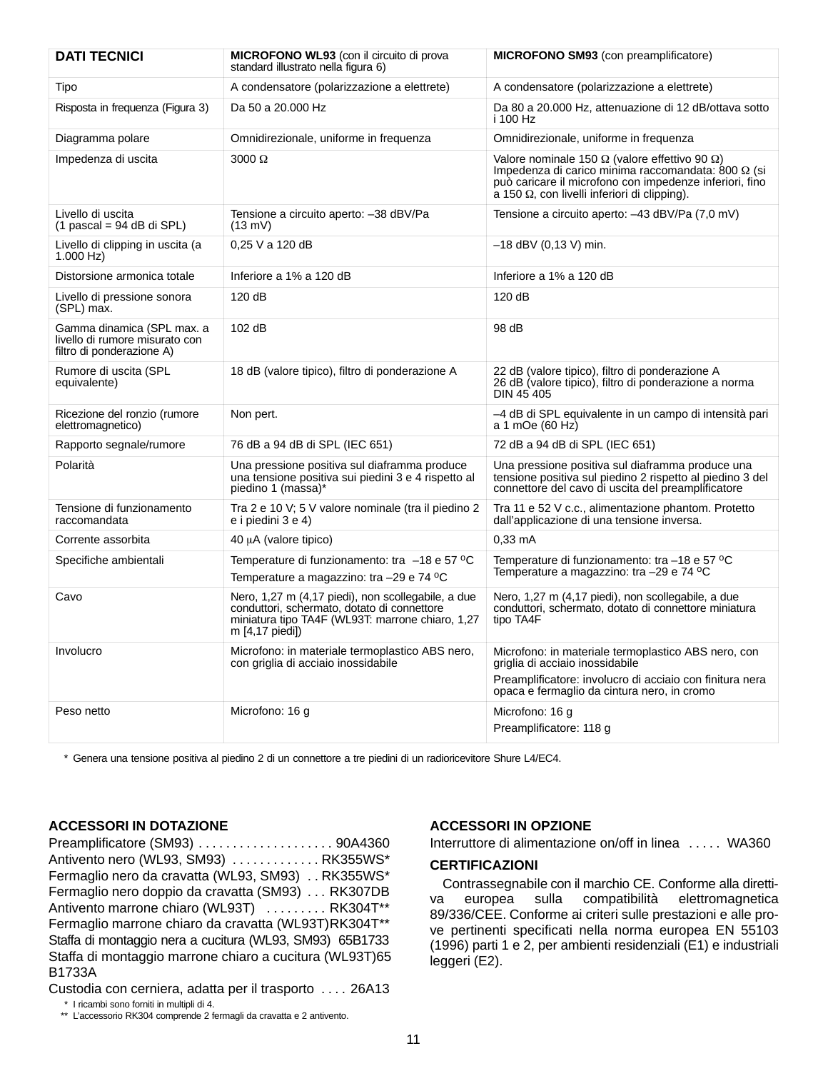| <b>DATI TECNICI</b>                                                                       | <b>MICROFONO WL93</b> (con il circuito di prova<br>standard illustrato nella figura 6)                                                                                   | <b>MICROFONO SM93</b> (con preamplificatore)                                                                                                                                                                                                 |
|-------------------------------------------------------------------------------------------|--------------------------------------------------------------------------------------------------------------------------------------------------------------------------|----------------------------------------------------------------------------------------------------------------------------------------------------------------------------------------------------------------------------------------------|
| Tipo                                                                                      | A condensatore (polarizzazione a elettrete)                                                                                                                              | A condensatore (polarizzazione a elettrete)                                                                                                                                                                                                  |
| Risposta in frequenza (Figura 3)                                                          | Da 50 a 20.000 Hz                                                                                                                                                        | Da 80 a 20.000 Hz, attenuazione di 12 dB/ottava sotto<br>i 100 Hz                                                                                                                                                                            |
| Diagramma polare                                                                          | Omnidirezionale, uniforme in frequenza                                                                                                                                   | Omnidirezionale, uniforme in frequenza                                                                                                                                                                                                       |
| Impedenza di uscita                                                                       | $3000 \Omega$                                                                                                                                                            | Valore nominale 150 $\Omega$ (valore effettivo 90 $\Omega$ )<br>Impedenza di carico minima raccomandata: 800 $\Omega$ (si<br>può caricare il microfono con impedenze inferiori, fino<br>a 150 $\Omega$ , con livelli inferiori di clipping). |
| Livello di uscita<br>$(1$ pascal = 94 dB di SPL)                                          | Tensione a circuito aperto: -38 dBV/Pa<br>$(13 \text{ mV})$                                                                                                              | Tensione a circuito aperto: -43 dBV/Pa (7,0 mV)                                                                                                                                                                                              |
| Livello di clipping in uscita (a<br>$1.000$ Hz)                                           | 0,25 V a 120 dB                                                                                                                                                          | $-18$ dBV (0,13 V) min.                                                                                                                                                                                                                      |
| Distorsione armonica totale                                                               | Inferiore a 1% a 120 dB                                                                                                                                                  | Inferiore a 1% a 120 dB                                                                                                                                                                                                                      |
| Livello di pressione sonora<br>(SPL) max.                                                 | 120 dB                                                                                                                                                                   | 120 dB                                                                                                                                                                                                                                       |
| Gamma dinamica (SPL max. a<br>livello di rumore misurato con<br>filtro di ponderazione A) | 102 dB                                                                                                                                                                   | 98 dB                                                                                                                                                                                                                                        |
| Rumore di uscita (SPL<br>equivalente)                                                     | 18 dB (valore tipico), filtro di ponderazione A                                                                                                                          | 22 dB (valore tipico), filtro di ponderazione A<br>26 dB (valore tipico), filtro di ponderazione a norma<br><b>DIN 45 405</b>                                                                                                                |
| Ricezione del ronzio (rumore<br>elettromagnetico)                                         | Non pert.                                                                                                                                                                | -4 dB di SPL equivalente in un campo di intensità pari<br>a 1 mOe (60 Hz)                                                                                                                                                                    |
| Rapporto segnale/rumore                                                                   | 76 dB a 94 dB di SPL (IEC 651)                                                                                                                                           | 72 dB a 94 dB di SPL (IEC 651)                                                                                                                                                                                                               |
| Polarità                                                                                  | Una pressione positiva sul diaframma produce<br>una tensione positiva sui piedini 3 e 4 rispetto al<br>piedino 1 (massa)*                                                | Una pressione positiva sul diaframma produce una<br>tensione positiva sul piedino 2 rispetto al piedino 3 del<br>connettore del cavo di uscita del preamplificatore                                                                          |
| Tensione di funzionamento<br>raccomandata                                                 | Tra 2 e 10 V; 5 V valore nominale (tra il piedino 2<br>e i piedini 3 e 4)                                                                                                | Tra 11 e 52 V c.c., alimentazione phantom. Protetto<br>dall'applicazione di una tensione inversa.                                                                                                                                            |
| Corrente assorbita                                                                        | 40 µA (valore tipico)                                                                                                                                                    | 0,33 mA                                                                                                                                                                                                                                      |
| Specifiche ambientali                                                                     | Temperature di funzionamento: tra -18 e 57 °C<br>Temperature a magazzino: tra -29 e 74 °C                                                                                | Temperature di funzionamento: tra -18 e 57 °C<br>Temperature a magazzino: tra -29 e 74 °C                                                                                                                                                    |
| Cavo                                                                                      | Nero, 1,27 m (4,17 piedi), non scollegabile, a due<br>conduttori, schermato, dotato di connettore<br>miniatura tipo TA4F (WL93T: marrone chiaro, 1,27<br>m [4,17 piedi]) | Nero, 1,27 m (4,17 piedi), non scollegabile, a due<br>conduttori, schermato, dotato di connettore miniatura<br>tipo TA4F                                                                                                                     |
| Involucro                                                                                 | Microfono: in materiale termoplastico ABS nero,<br>con griglia di acciaio inossidabile                                                                                   | Microfono: in materiale termoplastico ABS nero, con<br>griglia di acciaio inossidabile<br>Preamplificatore: involucro di acciaio con finitura nera<br>opaca e fermaglio da cintura nero, in cromo                                            |
| Peso netto                                                                                | Microfono: 16 g                                                                                                                                                          | Microfono: 16 g<br>Preamplificatore: 118 g                                                                                                                                                                                                   |

\* Genera una tensione positiva al piedino 2 di un connettore a tre piedini di un radioricevitore Shure L4/EC4.

## **ACCESSORI IN DOTAZIONE**

Preamplificatore (SM93) 90A4360 . . . . . . . . . . . . . . . . . . . . Antivento nero (WL93, SM93)  $\ldots$ .......... RK355WS\* Fermaglio nero da cravatta (WL93, SM93) . . RK355WS\* Fermaglio nero doppio da cravatta (SM93) ... RK307DB Antivento marrone chiaro (WL93T) ......... RK304T\*\* Fermaglio marrone chiaro da cravatta (WL93T)RK304T\*\* Staffa di montaggio nera a cucitura (WL93, SM93) 65B1733 Staffa di montaggio marrone chiaro a cucitura (WL93T)65 B1733A

Custodia con cerniera, adatta per il trasporto .... 26A13

## **ACCESSORI IN OPZIONE**

Interruttore di alimentazione on/off in linea  $\ldots$  . WA360

## **CERTIFICAZIONI**

Contrassegnabile con il marchio CE. Conforme alla direttiva europea sulla compatibilità elettromagnetica 89/336/CEE. Conforme ai criteri sulle prestazioni e alle prove pertinenti specificati nella norma europea EN 55103 (1996) parti 1 e 2, per ambienti residenziali (E1) e industriali leggeri (E2).

<sup>\*</sup> I ricambi sono forniti in multipli di 4.

<sup>\*\*</sup> L'accessorio RK304 comprende 2 fermagli da cravatta e 2 antivento.